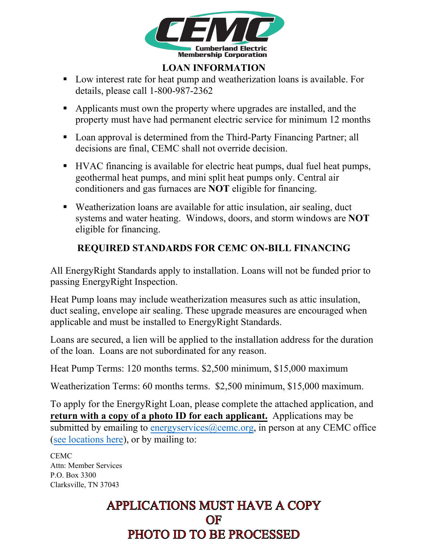

## **LOAN INFORMATION**

- Low interest rate for heat pump and weatherization loans is available. For details, please call 1-800-987-2362
- Applicants must own the property where upgrades are installed, and the property must have had permanent electric service for minimum 12 months
- Loan approval is determined from the Third-Party Financing Partner; all decisions are final, CEMC shall not override decision.
- HVAC financing is available for electric heat pumps, dual fuel heat pumps, geothermal heat pumps, and mini split heat pumps only. Central air conditioners and gas furnaces are **NOT** eligible for financing.
- Weatherization loans are available for attic insulation, air sealing, duct systems and water heating. Windows, doors, and storm windows are **NOT** eligible for financing.

## **REQUIRED STANDARDS FOR CEMC ON-BILL FINANCING**

All EnergyRight Standards apply to installation. Loans will not be funded prior to passing EnergyRight Inspection.

Heat Pump loans may include weatherization measures such as attic insulation, duct sealing, envelope air sealing. These upgrade measures are encouraged when applicable and must be installed to EnergyRight Standards.

Loans are secured, a lien will be applied to the installation address for the duration of the loan. Loans are not subordinated for any reason.

Heat Pump Terms: 120 months terms. \$2,500 minimum, \$15,000 maximum

Weatherization Terms: 60 months terms. \$2,500 minimum, \$15,000 maximum.

To apply for the EnergyRight Loan, please complete the attached application, and **return with a copy of a photo ID for each applicant.** Applications may be submitted by emailing to energy services  $(a)$  ceme.org, in person at any CEMC office (see locations here), or by mailing to:

CEMC Attn: Member Services P.O. Box 3300 Clarksville, TN 37043

## **APPLICATIONS MUST HAVE A COPY** OF PHOTO ID TO BE PROCESSED